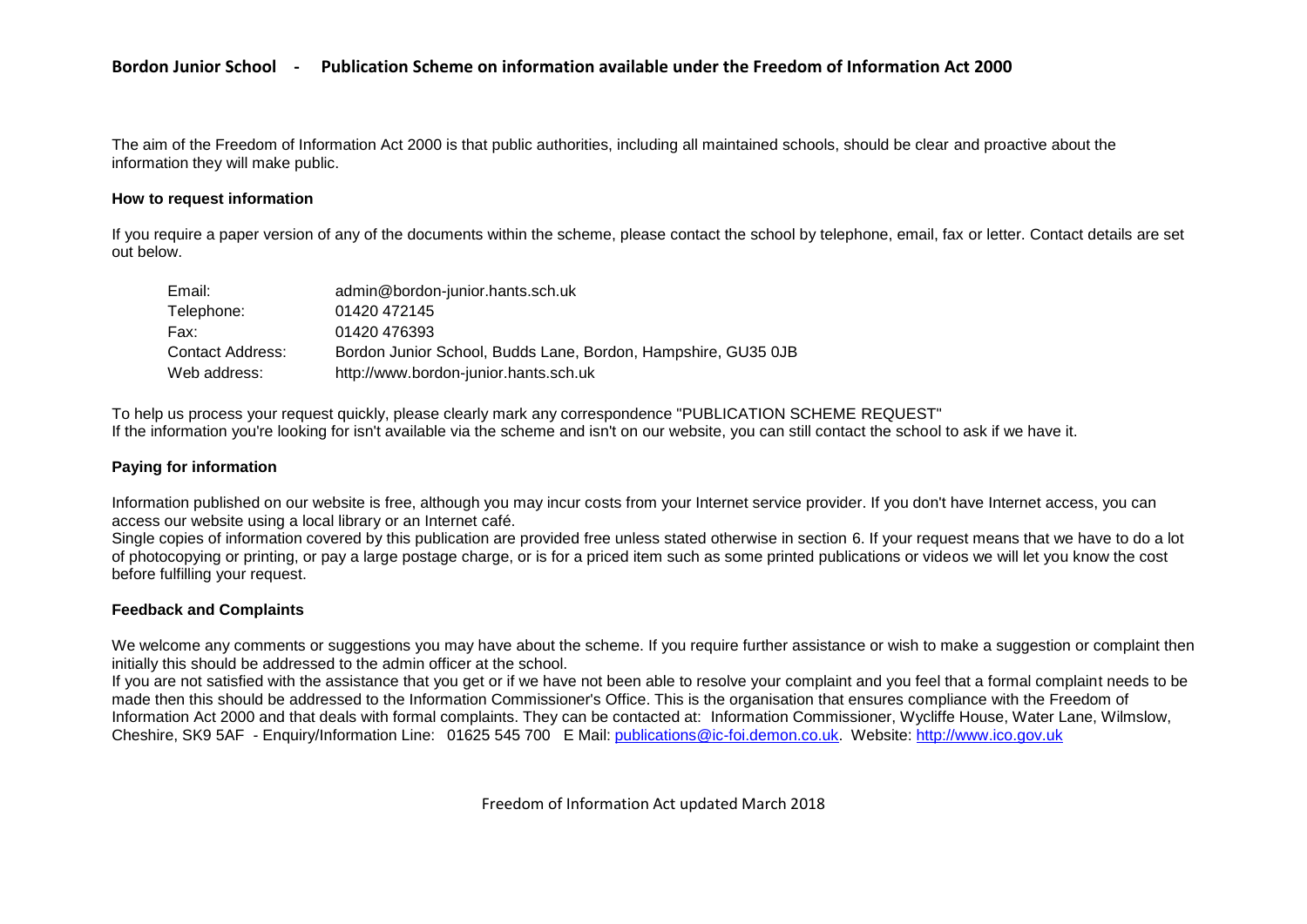The aim of the Freedom of Information Act 2000 is that public authorities, including all maintained schools, should be clear and proactive about the information they will make public.

#### **How to request information**

If you require a paper version of any of the documents within the scheme, please contact the school by telephone, email, fax or letter. Contact details are set out below.

| Email:           | admin@bordon-junior.hants.sch.uk                              |
|------------------|---------------------------------------------------------------|
| Telephone:       | 01420 472145                                                  |
| Fax:             | 01420 476393                                                  |
| Contact Address: | Bordon Junior School, Budds Lane, Bordon, Hampshire, GU35 0JB |
| Web address:     | http://www.bordon-junior.hants.sch.uk                         |

To help us process your request quickly, please clearly mark any correspondence "PUBLICATION SCHEME REQUEST" If the information you're looking for isn't available via the scheme and isn't on our website, you can still contact the school to ask if we have it.

### **Paying for information**

Information published on our website is free, although you may incur costs from your Internet service provider. If you don't have Internet access, you can access our website using a local library or an Internet café.

Single copies of information covered by this publication are provided free unless stated otherwise in section 6. If your request means that we have to do a lot of photocopying or printing, or pay a large postage charge, or is for a priced item such as some printed publications or videos we will let you know the cost before fulfilling your request.

### **Feedback and Complaints**

We welcome any comments or suggestions you may have about the scheme. If you require further assistance or wish to make a suggestion or complaint then initially this should be addressed to the admin officer at the school.

If you are not satisfied with the assistance that you get or if we have not been able to resolve your complaint and you feel that a formal complaint needs to be made then this should be addressed to the Information Commissioner's Office. This is the organisation that ensures compliance with the Freedom of Information Act 2000 and that deals with formal complaints. They can be contacted at: Information Commissioner, Wycliffe House, Water Lane, Wilmslow, Cheshire, SK9 5AF - Enquiry/Information Line: 01625 545 700 E Mail: [publications@ic-foi.demon.co.uk.](mailto:publications@ic-foi.demon.co.uk) Website: [http://www.ico.gov.uk](http://www.ico.gov.uk/)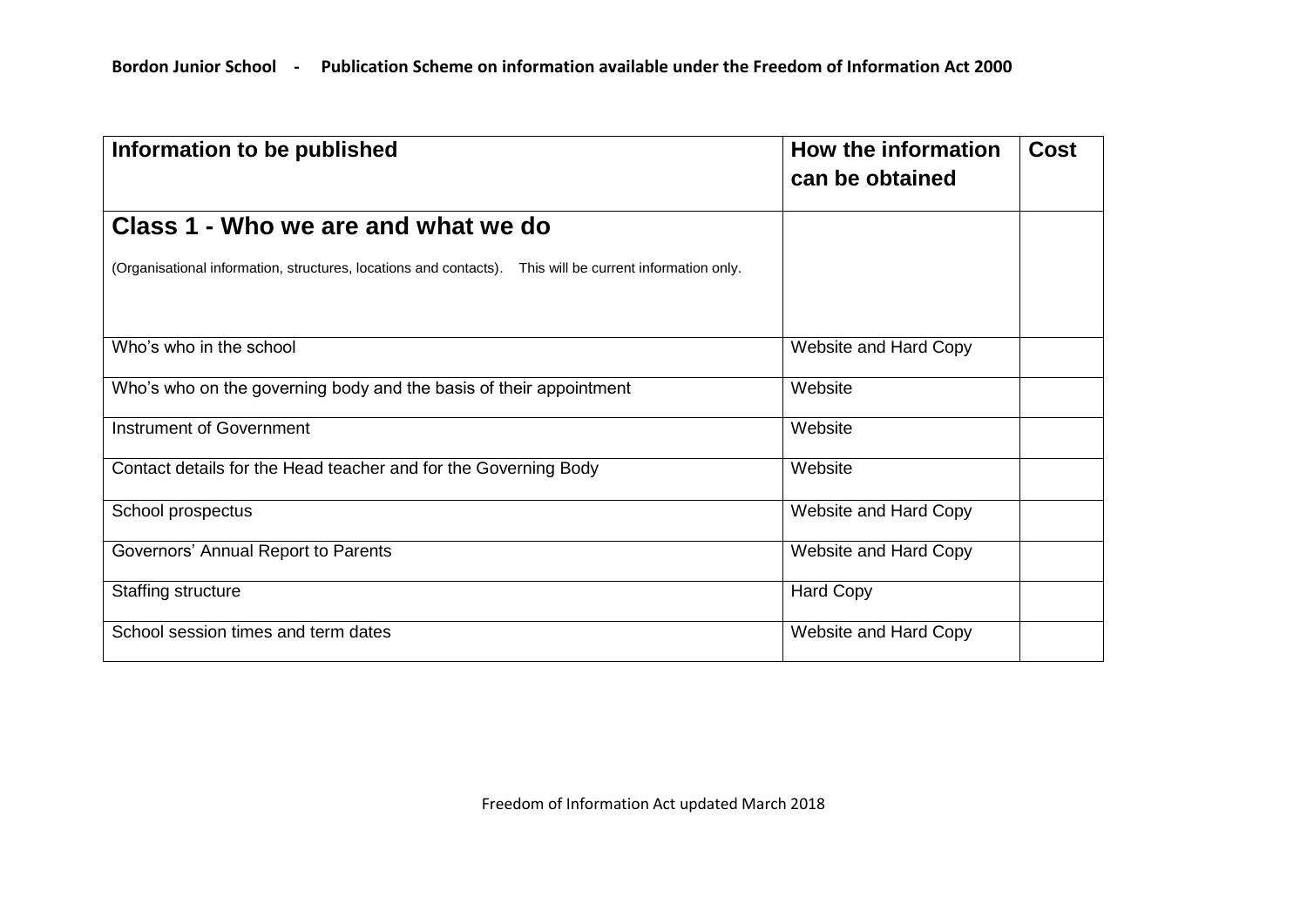| Information to be published                                                                              | How the information<br>can be obtained | Cost |
|----------------------------------------------------------------------------------------------------------|----------------------------------------|------|
| Class 1 - Who we are and what we do                                                                      |                                        |      |
| (Organisational information, structures, locations and contacts). This will be current information only. |                                        |      |
| Who's who in the school                                                                                  | Website and Hard Copy                  |      |
| Who's who on the governing body and the basis of their appointment                                       | Website                                |      |
| <b>Instrument of Government</b>                                                                          | Website                                |      |
| Contact details for the Head teacher and for the Governing Body                                          | Website                                |      |
| School prospectus                                                                                        | Website and Hard Copy                  |      |
| Governors' Annual Report to Parents                                                                      | Website and Hard Copy                  |      |
| <b>Staffing structure</b>                                                                                | <b>Hard Copy</b>                       |      |
| School session times and term dates                                                                      | Website and Hard Copy                  |      |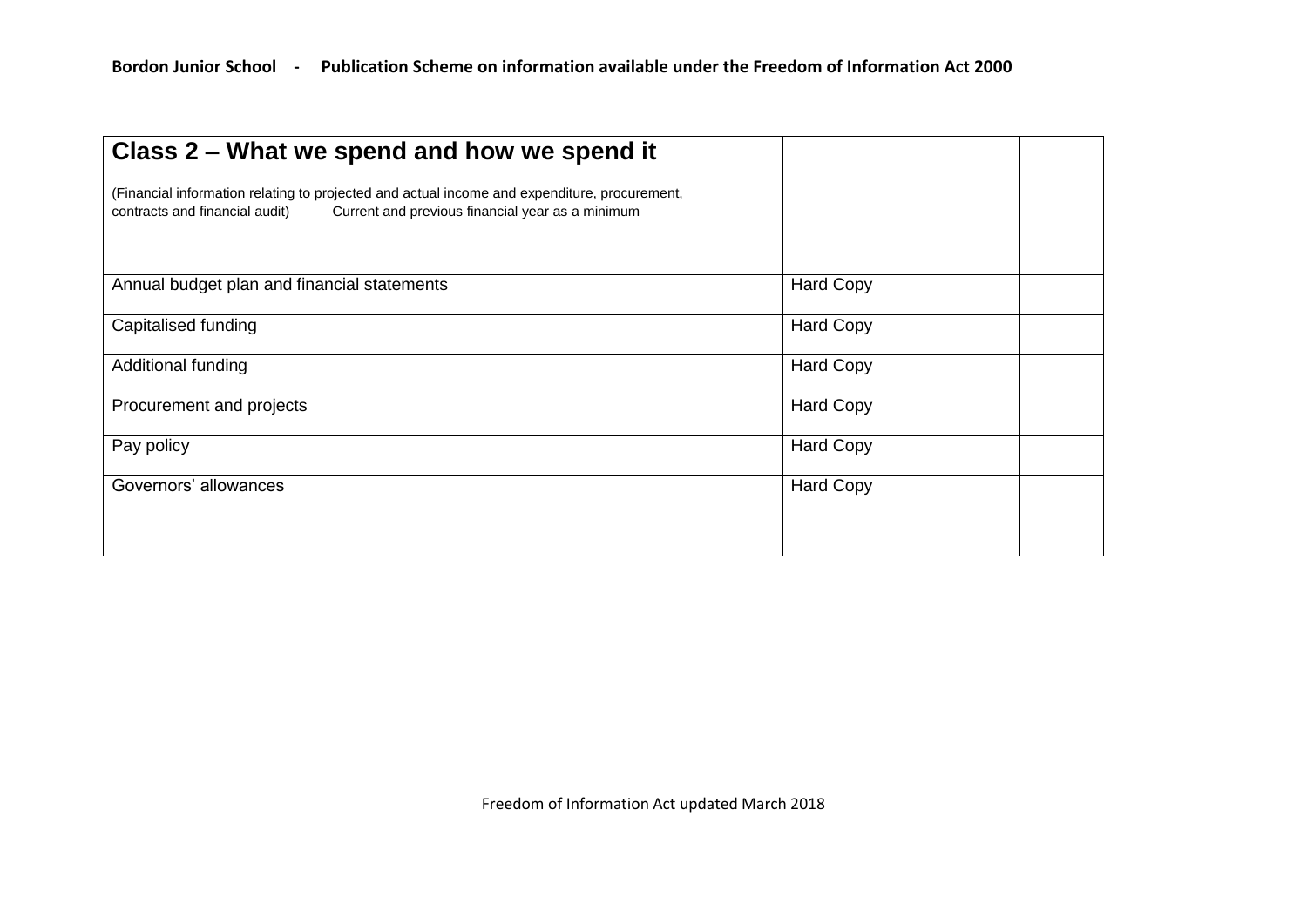| Class 2 – What we spend and how we spend it                                                                                                                                        |                  |  |
|------------------------------------------------------------------------------------------------------------------------------------------------------------------------------------|------------------|--|
| (Financial information relating to projected and actual income and expenditure, procurement,<br>contracts and financial audit)<br>Current and previous financial year as a minimum |                  |  |
| Annual budget plan and financial statements                                                                                                                                        | <b>Hard Copy</b> |  |
| Capitalised funding                                                                                                                                                                | <b>Hard Copy</b> |  |
| Additional funding                                                                                                                                                                 | <b>Hard Copy</b> |  |
| Procurement and projects                                                                                                                                                           | <b>Hard Copy</b> |  |
| Pay policy                                                                                                                                                                         | <b>Hard Copy</b> |  |
| Governors' allowances                                                                                                                                                              | <b>Hard Copy</b> |  |
|                                                                                                                                                                                    |                  |  |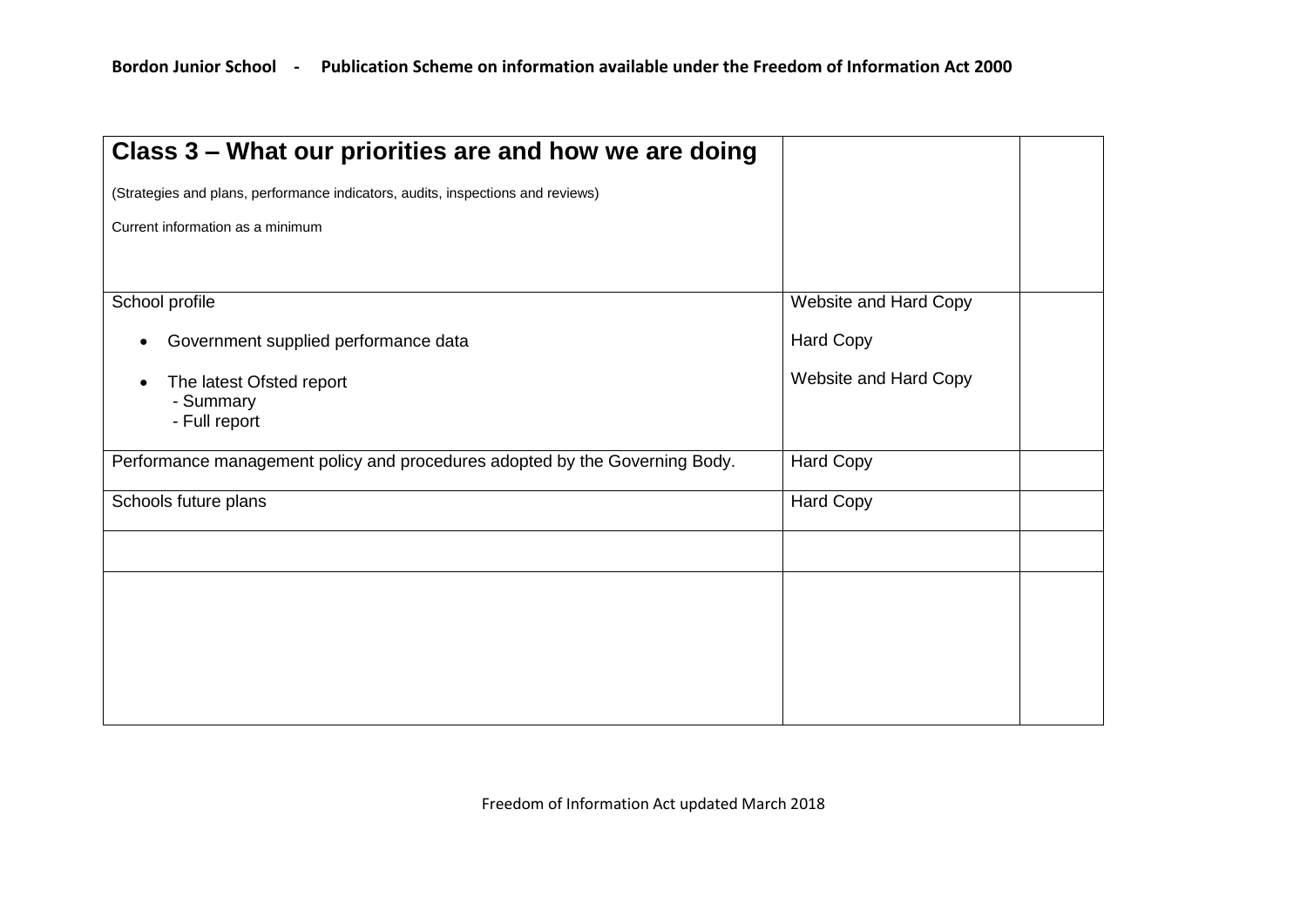| Class 3 – What our priorities are and how we are doing                          |                       |  |
|---------------------------------------------------------------------------------|-----------------------|--|
| (Strategies and plans, performance indicators, audits, inspections and reviews) |                       |  |
| Current information as a minimum                                                |                       |  |
|                                                                                 |                       |  |
| School profile                                                                  | Website and Hard Copy |  |
| Government supplied performance data<br>$\bullet$                               | <b>Hard Copy</b>      |  |
| The latest Ofsted report<br>- Summary                                           | Website and Hard Copy |  |
| - Full report                                                                   |                       |  |
| Performance management policy and procedures adopted by the Governing Body.     | <b>Hard Copy</b>      |  |
| Schools future plans                                                            | <b>Hard Copy</b>      |  |
|                                                                                 |                       |  |
|                                                                                 |                       |  |
|                                                                                 |                       |  |
|                                                                                 |                       |  |
|                                                                                 |                       |  |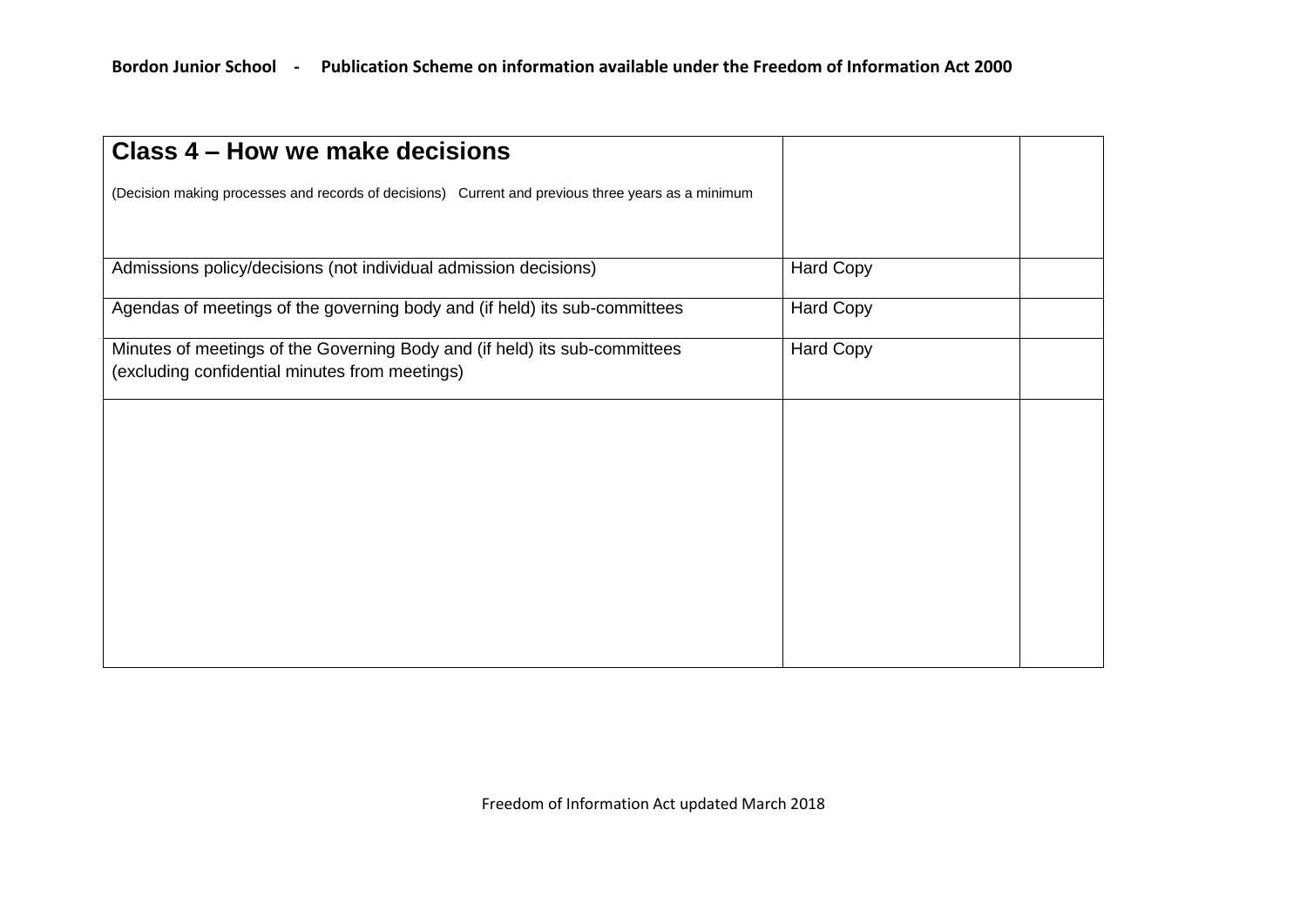| Class 4 – How we make decisions                                                                                              |                  |  |
|------------------------------------------------------------------------------------------------------------------------------|------------------|--|
| (Decision making processes and records of decisions) Current and previous three years as a minimum                           |                  |  |
|                                                                                                                              |                  |  |
| Admissions policy/decisions (not individual admission decisions)                                                             | <b>Hard Copy</b> |  |
| Agendas of meetings of the governing body and (if held) its sub-committees                                                   | <b>Hard Copy</b> |  |
| Minutes of meetings of the Governing Body and (if held) its sub-committees<br>(excluding confidential minutes from meetings) | <b>Hard Copy</b> |  |
|                                                                                                                              |                  |  |
|                                                                                                                              |                  |  |
|                                                                                                                              |                  |  |
|                                                                                                                              |                  |  |
|                                                                                                                              |                  |  |
|                                                                                                                              |                  |  |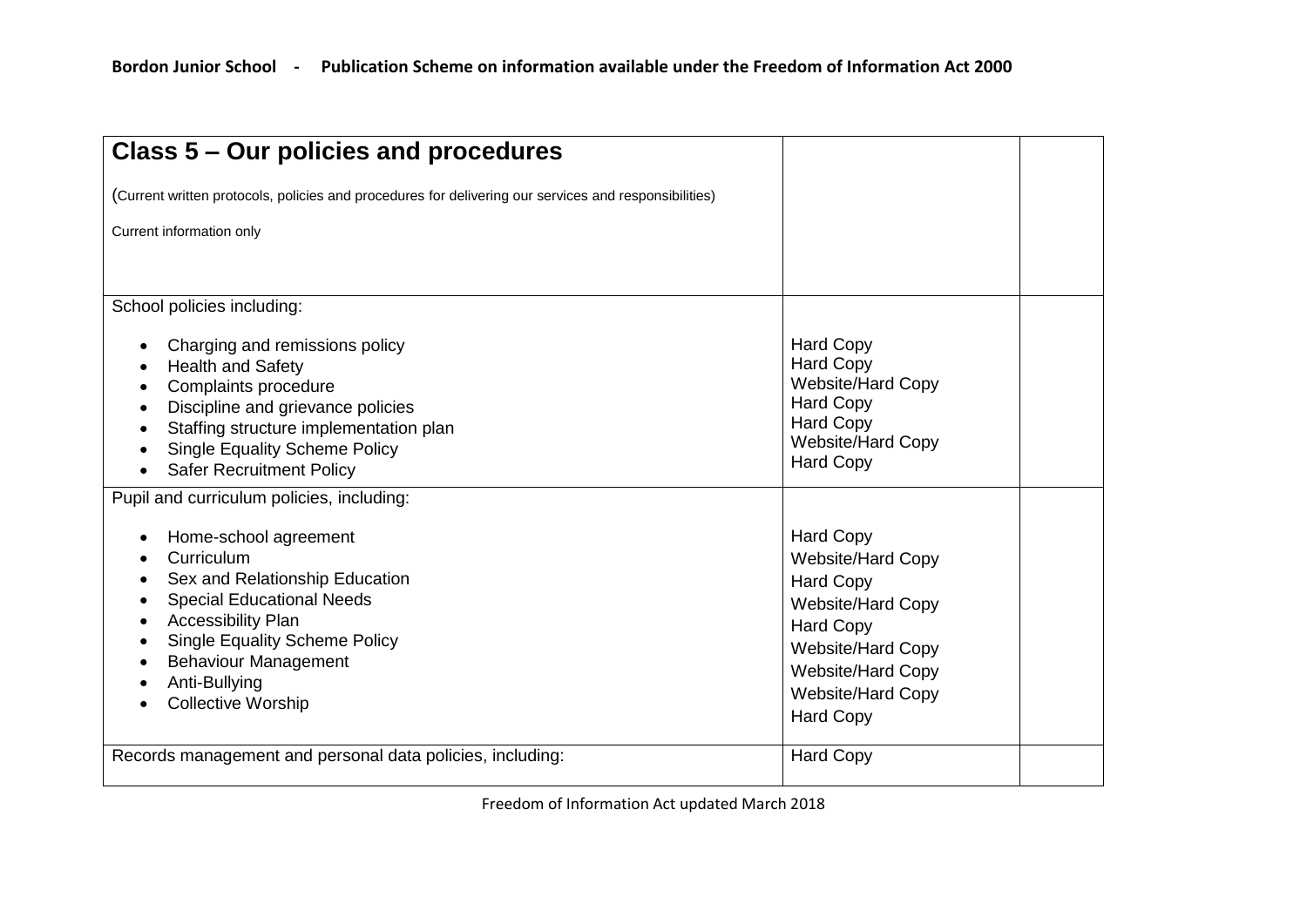| Class 5 - Our policies and procedures                                                                                                                                                                                                                                                                  |                                                                                                                                                                                                                   |  |
|--------------------------------------------------------------------------------------------------------------------------------------------------------------------------------------------------------------------------------------------------------------------------------------------------------|-------------------------------------------------------------------------------------------------------------------------------------------------------------------------------------------------------------------|--|
| (Current written protocols, policies and procedures for delivering our services and responsibilities)                                                                                                                                                                                                  |                                                                                                                                                                                                                   |  |
| Current information only                                                                                                                                                                                                                                                                               |                                                                                                                                                                                                                   |  |
| School policies including:<br>Charging and remissions policy<br><b>Health and Safety</b><br>$\bullet$<br>Complaints procedure<br>Discipline and grievance policies<br>Staffing structure implementation plan<br><b>Single Equality Scheme Policy</b><br><b>Safer Recruitment Policy</b>                | <b>Hard Copy</b><br><b>Hard Copy</b><br><b>Website/Hard Copy</b><br><b>Hard Copy</b><br><b>Hard Copy</b><br>Website/Hard Copy<br><b>Hard Copy</b>                                                                 |  |
| Pupil and curriculum policies, including:<br>Home-school agreement<br>Curriculum<br>Sex and Relationship Education<br><b>Special Educational Needs</b><br>Accessibility Plan<br>٠<br><b>Single Equality Scheme Policy</b><br><b>Behaviour Management</b><br>Anti-Bullying<br><b>Collective Worship</b> | <b>Hard Copy</b><br><b>Website/Hard Copy</b><br><b>Hard Copy</b><br><b>Website/Hard Copy</b><br><b>Hard Copy</b><br>Website/Hard Copy<br><b>Website/Hard Copy</b><br><b>Website/Hard Copy</b><br><b>Hard Copy</b> |  |
| Records management and personal data policies, including:                                                                                                                                                                                                                                              | <b>Hard Copy</b>                                                                                                                                                                                                  |  |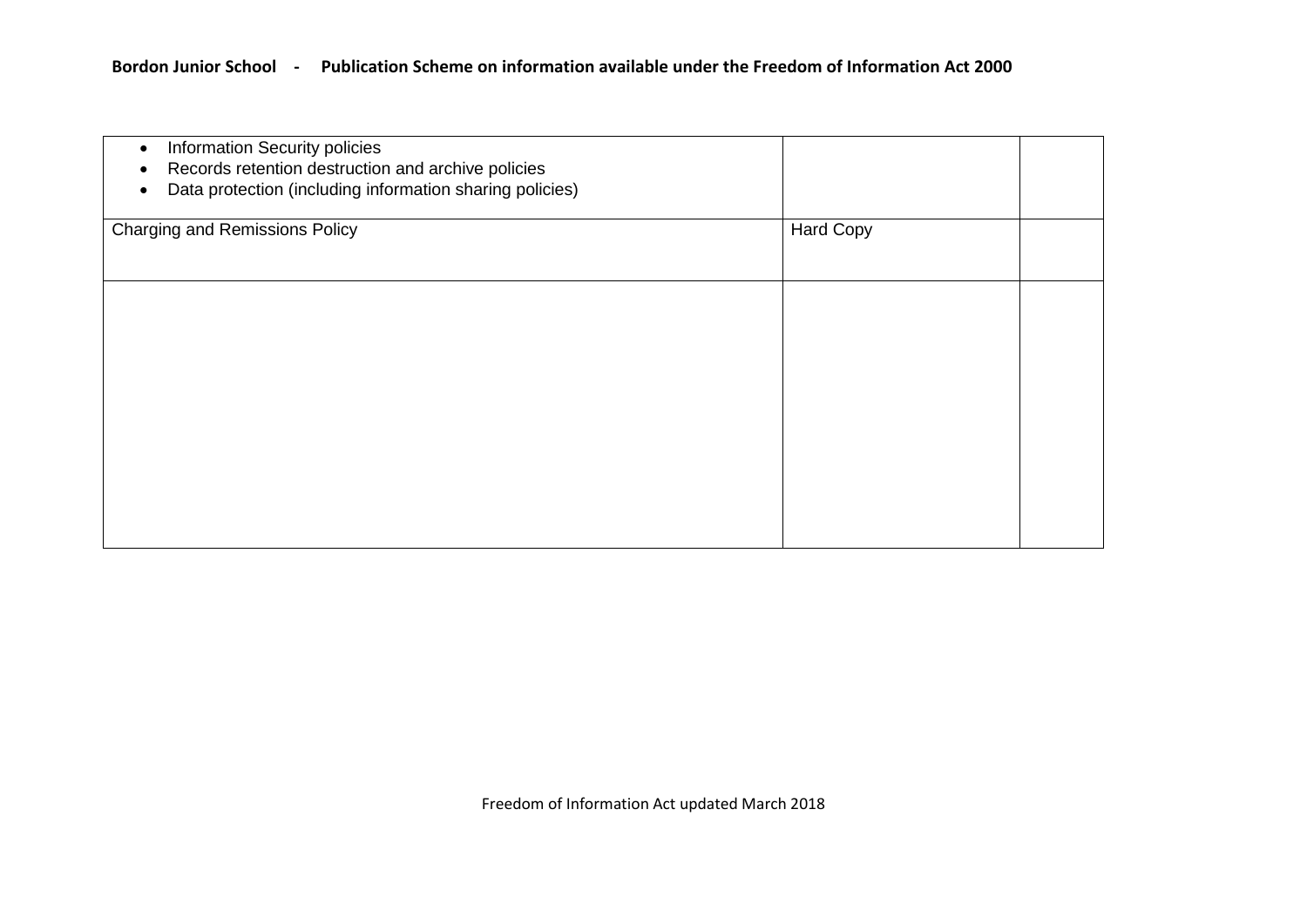| Information Security policies<br>$\bullet$<br>Records retention destruction and archive policies<br>Data protection (including information sharing policies) |                  |  |
|--------------------------------------------------------------------------------------------------------------------------------------------------------------|------------------|--|
| <b>Charging and Remissions Policy</b>                                                                                                                        | <b>Hard Copy</b> |  |
|                                                                                                                                                              |                  |  |
|                                                                                                                                                              |                  |  |
|                                                                                                                                                              |                  |  |
|                                                                                                                                                              |                  |  |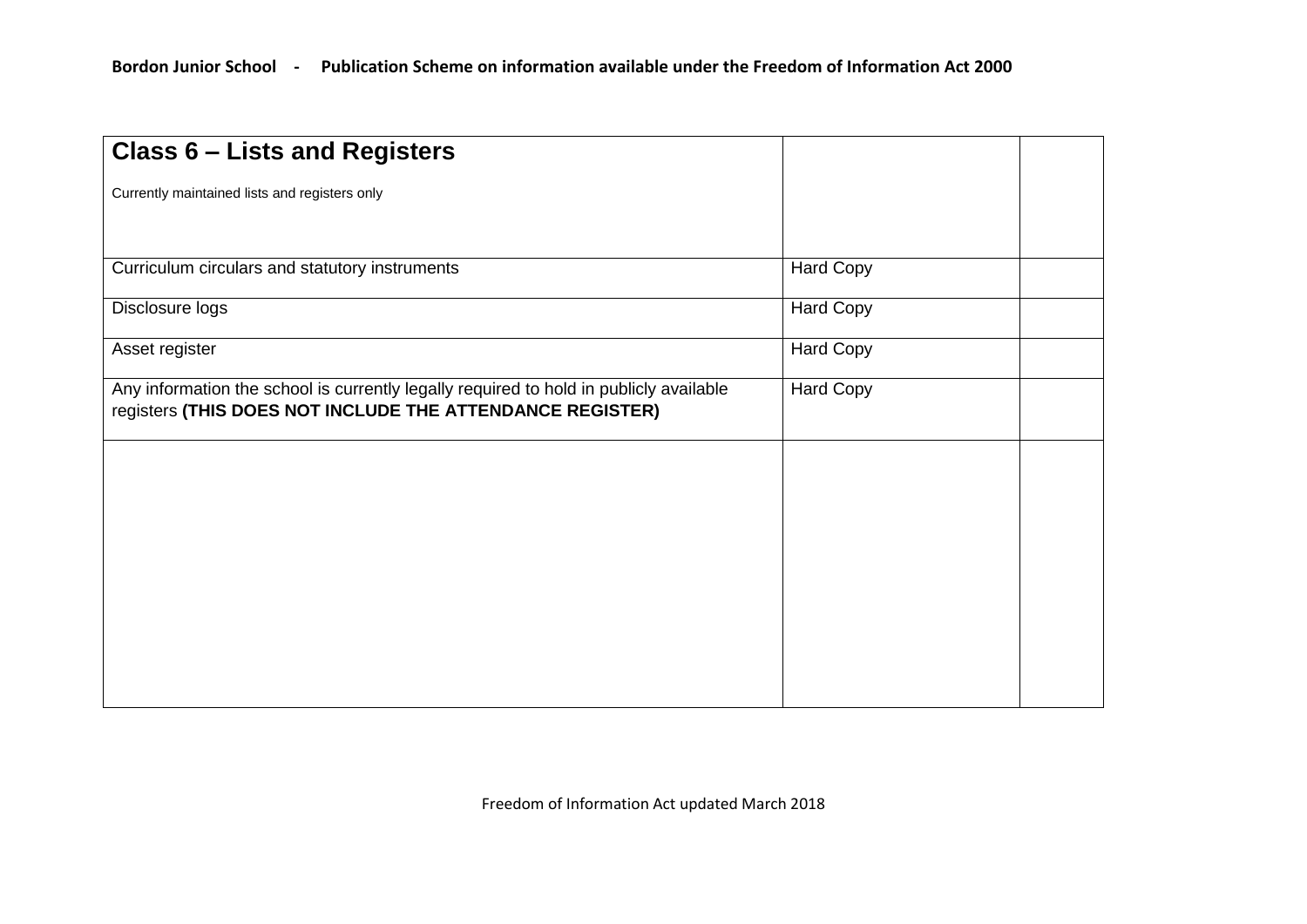| <b>Class 6 - Lists and Registers</b>                                                                                                                |                  |  |
|-----------------------------------------------------------------------------------------------------------------------------------------------------|------------------|--|
| Currently maintained lists and registers only                                                                                                       |                  |  |
|                                                                                                                                                     |                  |  |
| Curriculum circulars and statutory instruments                                                                                                      | <b>Hard Copy</b> |  |
| Disclosure logs                                                                                                                                     | <b>Hard Copy</b> |  |
| Asset register                                                                                                                                      | <b>Hard Copy</b> |  |
| Any information the school is currently legally required to hold in publicly available<br>registers (THIS DOES NOT INCLUDE THE ATTENDANCE REGISTER) | Hard Copy        |  |
|                                                                                                                                                     |                  |  |
|                                                                                                                                                     |                  |  |
|                                                                                                                                                     |                  |  |
|                                                                                                                                                     |                  |  |
|                                                                                                                                                     |                  |  |
|                                                                                                                                                     |                  |  |
|                                                                                                                                                     |                  |  |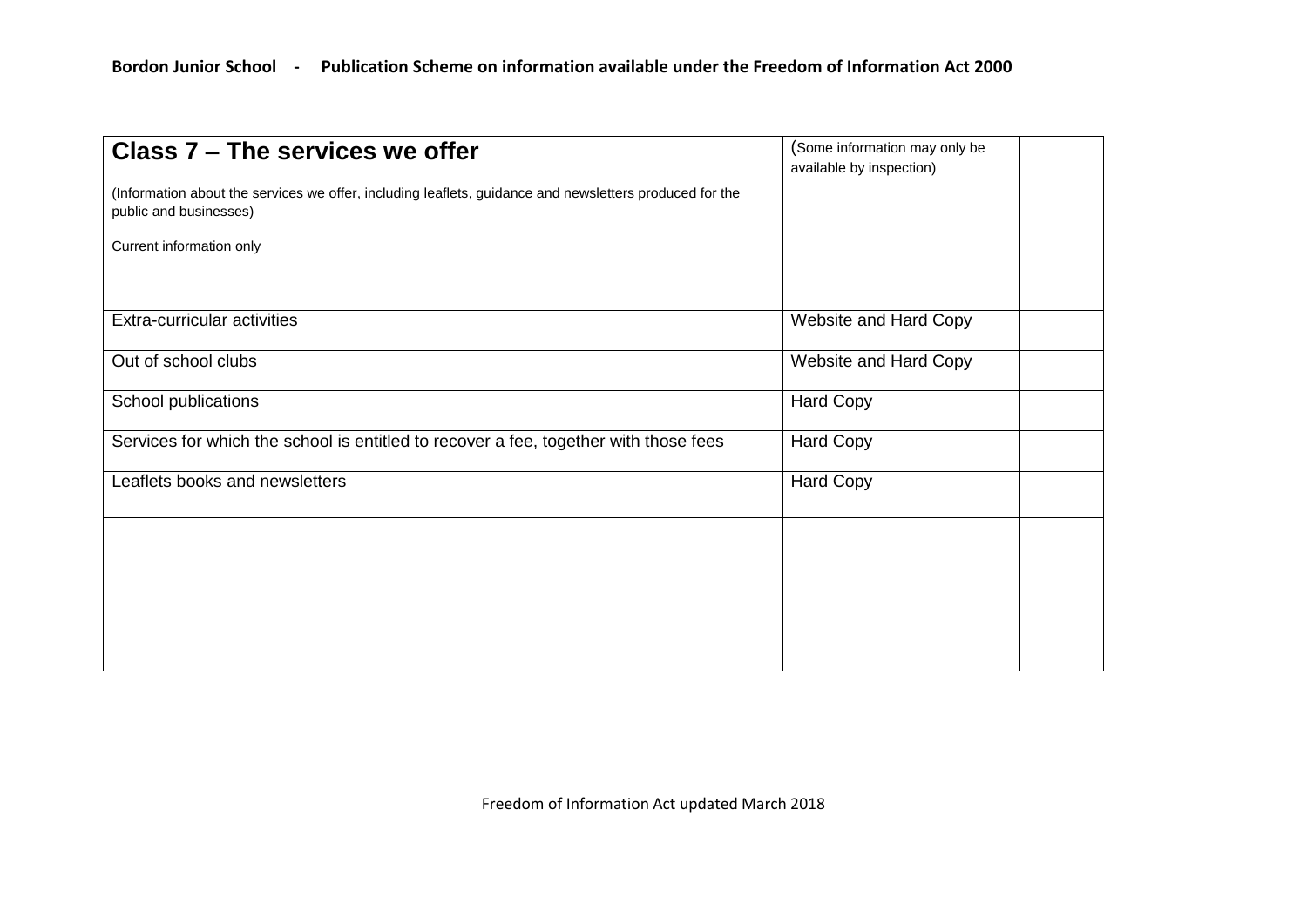| Class 7 - The services we offer<br>(Information about the services we offer, including leaflets, guidance and newsletters produced for the<br>public and businesses) | (Some information may only be<br>available by inspection) |
|----------------------------------------------------------------------------------------------------------------------------------------------------------------------|-----------------------------------------------------------|
| Current information only                                                                                                                                             |                                                           |
|                                                                                                                                                                      |                                                           |
| Extra-curricular activities                                                                                                                                          | Website and Hard Copy                                     |
| Out of school clubs                                                                                                                                                  | Website and Hard Copy                                     |
| School publications                                                                                                                                                  | <b>Hard Copy</b>                                          |
| Services for which the school is entitled to recover a fee, together with those fees                                                                                 | <b>Hard Copy</b>                                          |
| Leaflets books and newsletters                                                                                                                                       | <b>Hard Copy</b>                                          |
|                                                                                                                                                                      |                                                           |
|                                                                                                                                                                      |                                                           |
|                                                                                                                                                                      |                                                           |
|                                                                                                                                                                      |                                                           |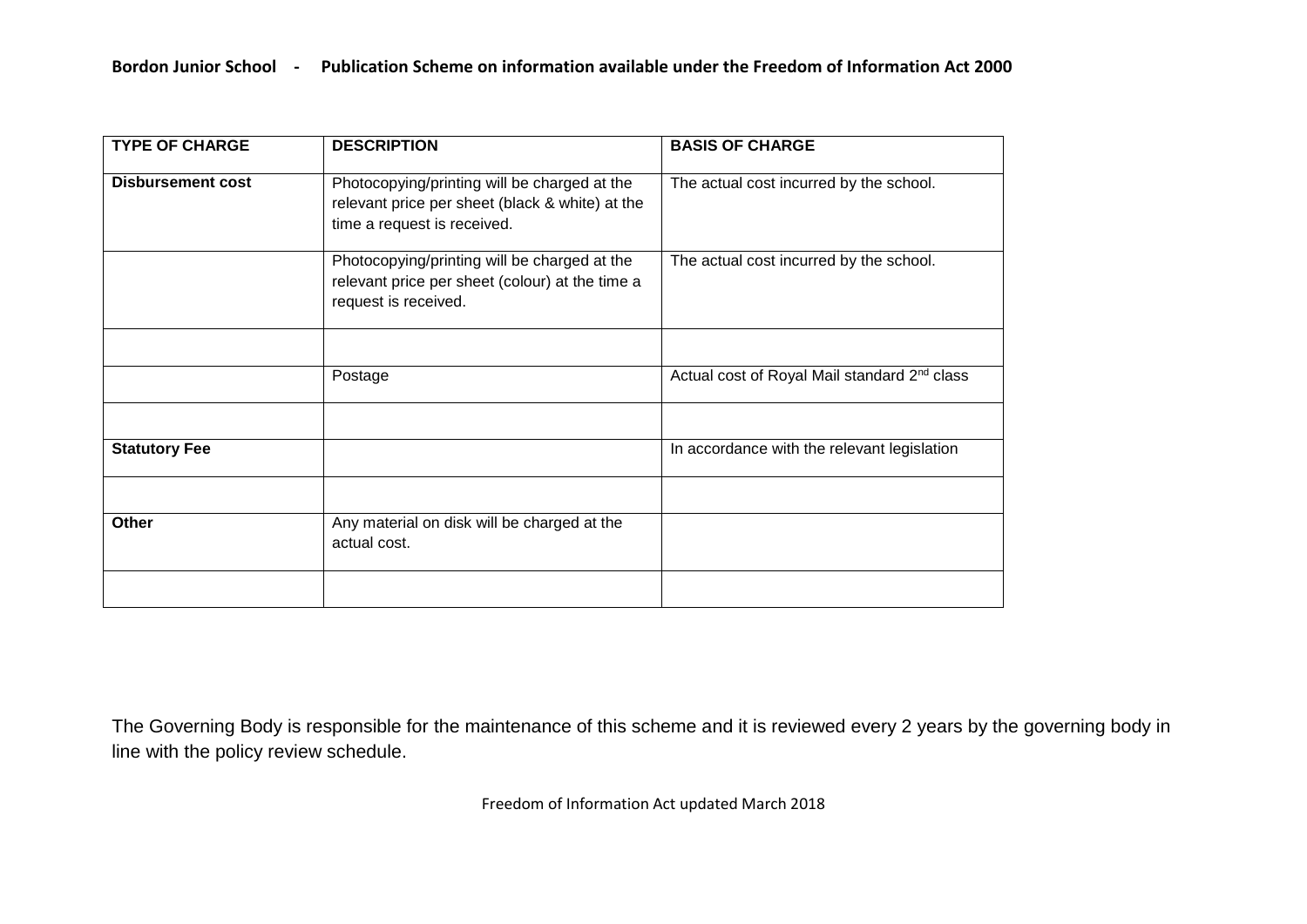| <b>TYPE OF CHARGE</b>    | <b>DESCRIPTION</b>                                                                                                             | <b>BASIS OF CHARGE</b>                                   |
|--------------------------|--------------------------------------------------------------------------------------------------------------------------------|----------------------------------------------------------|
| <b>Disbursement cost</b> | Photocopying/printing will be charged at the<br>relevant price per sheet (black & white) at the<br>time a request is received. | The actual cost incurred by the school.                  |
|                          | Photocopying/printing will be charged at the<br>relevant price per sheet (colour) at the time a<br>request is received.        | The actual cost incurred by the school.                  |
|                          |                                                                                                                                |                                                          |
|                          | Postage                                                                                                                        | Actual cost of Royal Mail standard 2 <sup>nd</sup> class |
|                          |                                                                                                                                |                                                          |
| <b>Statutory Fee</b>     |                                                                                                                                | In accordance with the relevant legislation              |
|                          |                                                                                                                                |                                                          |
| Other                    | Any material on disk will be charged at the<br>actual cost.                                                                    |                                                          |
|                          |                                                                                                                                |                                                          |

The Governing Body is responsible for the maintenance of this scheme and it is reviewed every 2 years by the governing body in line with the policy review schedule.